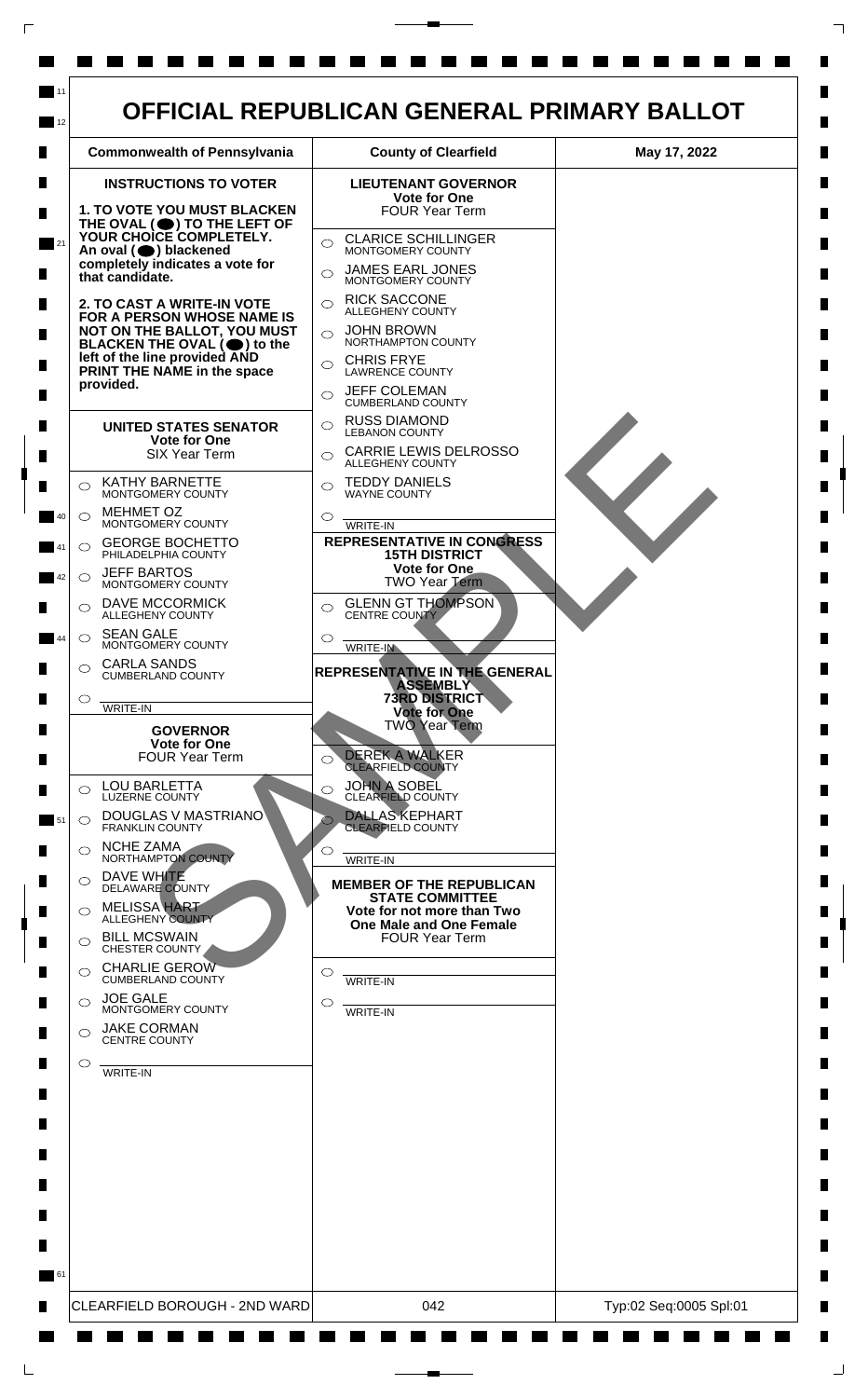

 $\mathsf{L}$